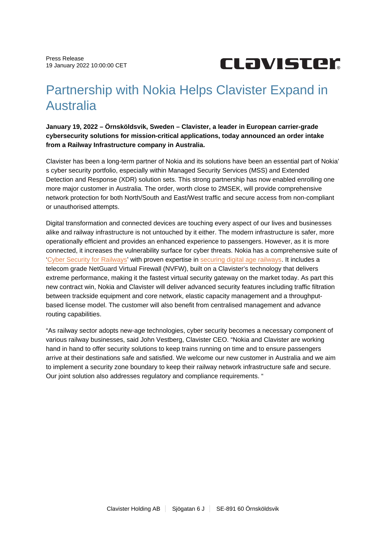

## Partnership with Nokia Helps Clavister Expand in Australia

**January 19, 2022 – Örnsköldsvik, Sweden – Clavister, a leader in European carrier-grade cybersecurity solutions for mission-critical applications, today announced an order intake from a Railway Infrastructure company in Australia.**

Clavister has been a long-term partner of Nokia and its solutions have been an essential part of Nokia' s cyber security portfolio, especially within Managed Security Services (MSS) and Extended Detection and Response (XDR) solution sets. This strong partnership has now enabled enrolling one more major customer in Australia. The order, worth close to 2MSEK, will provide comprehensive network protection for both North/South and East/West traffic and secure access from non-compliant or unauthorised attempts.

Digital transformation and connected devices are touching every aspect of our lives and businesses alike and railway infrastructure is not untouched by it either. The modern infrastructure is safer, more operationally efficient and provides an enhanced experience to passengers. However, as it is more connected, it increases the vulnerability surface for cyber threats. Nokia has a comprehensive suite of ['Cyber Security for Railways](https://www.nokia.com/networks/solutions/cyber-security-for-railways/)' with proven expertise in [securing digital age railways](https://onestore.nokia.com/asset/206737?_ga=2.50170085.270899497.1638882091-199545378.1630788840). It includes a telecom grade NetGuard Virtual Firewall (NVFW), built on a Clavister's technology that delivers extreme performance, making it the fastest virtual security gateway on the market today. As part this new contract win, Nokia and Clavister will deliver advanced security features including traffic filtration between trackside equipment and core network, elastic capacity management and a throughputbased license model. The customer will also benefit from centralised management and advance routing capabilities.

"As railway sector adopts new-age technologies, cyber security becomes a necessary component of various railway businesses, said John Vestberg, Clavister CEO. "Nokia and Clavister are working hand in hand to offer security solutions to keep trains running on time and to ensure passengers arrive at their destinations safe and satisfied. We welcome our new customer in Australia and we aim to implement a security zone boundary to keep their railway network infrastructure safe and secure. Our joint solution also addresses regulatory and compliance requirements. "